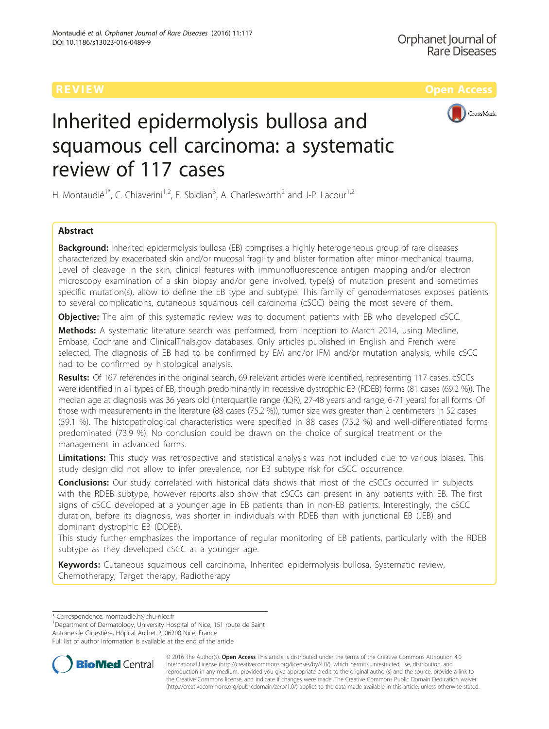

# Inherited epidermolysis bullosa and squamous cell carcinoma: a systematic review of 117 cases

H. Montaudié<sup>1\*</sup>, C. Chiaverini<sup>1,2</sup>, E. Sbidian<sup>3</sup>, A. Charlesworth<sup>2</sup> and J-P. Lacour<sup>1,2</sup>

# Abstract

**Background:** Inherited epidermolysis bullosa (EB) comprises a highly heterogeneous group of rare diseases characterized by exacerbated skin and/or mucosal fragility and blister formation after minor mechanical trauma. Level of cleavage in the skin, clinical features with immunofluorescence antigen mapping and/or electron microscopy examination of a skin biopsy and/or gene involved, type(s) of mutation present and sometimes specific mutation(s), allow to define the EB type and subtype. This family of genodermatoses exposes patients to several complications, cutaneous squamous cell carcinoma (cSCC) being the most severe of them.

**Objective:** The aim of this systematic review was to document patients with EB who developed cSCC.

Methods: A systematic literature search was performed, from inception to March 2014, using Medline, Embase, Cochrane and ClinicalTrials.gov databases. Only articles published in English and French were selected. The diagnosis of EB had to be confirmed by EM and/or IFM and/or mutation analysis, while cSCC had to be confirmed by histological analysis.

Results: Of 167 references in the original search, 69 relevant articles were identified, representing 117 cases. cSCCs were identified in all types of EB, though predominantly in recessive dystrophic EB (RDEB) forms (81 cases (69.2 %)). The median age at diagnosis was 36 years old (interquartile range (IQR), 27-48 years and range, 6-71 years) for all forms. Of those with measurements in the literature (88 cases (75.2 %)), tumor size was greater than 2 centimeters in 52 cases (59.1 %). The histopathological characteristics were specified in 88 cases (75.2 %) and well-differentiated forms predominated (73.9 %). No conclusion could be drawn on the choice of surgical treatment or the management in advanced forms.

Limitations: This study was retrospective and statistical analysis was not included due to various biases. This study design did not allow to infer prevalence, nor EB subtype risk for cSCC occurrence.

**Conclusions:** Our study correlated with historical data shows that most of the cSCCs occurred in subjects with the RDEB subtype, however reports also show that cSCCs can present in any patients with EB. The first signs of cSCC developed at a younger age in EB patients than in non-EB patients. Interestingly, the cSCC duration, before its diagnosis, was shorter in individuals with RDEB than with junctional EB (JEB) and dominant dystrophic EB (DDEB).

This study further emphasizes the importance of regular monitoring of EB patients, particularly with the RDEB subtype as they developed cSCC at a younger age.

Keywords: Cutaneous squamous cell carcinoma, Inherited epidermolysis bullosa, Systematic review, Chemotherapy, Target therapy, Radiotherapy

\* Correspondence: [montaudie.h@chu-nice.fr](mailto:montaudie.h@chu-nice.fr) <sup>1</sup>

<sup>1</sup>Department of Dermatology, University Hospital of Nice, 151 route de Saint Antoine de Ginestière, Hôpital Archet 2, 06200 Nice, France

Full list of author information is available at the end of the article



© 2016 The Author(s). Open Access This article is distributed under the terms of the Creative Commons Attribution 4.0 International License [\(http://creativecommons.org/licenses/by/4.0/](http://creativecommons.org/licenses/by/4.0/)), which permits unrestricted use, distribution, and reproduction in any medium, provided you give appropriate credit to the original author(s) and the source, provide a link to the Creative Commons license, and indicate if changes were made. The Creative Commons Public Domain Dedication waiver [\(http://creativecommons.org/publicdomain/zero/1.0/](http://creativecommons.org/publicdomain/zero/1.0/)) applies to the data made available in this article, unless otherwise stated.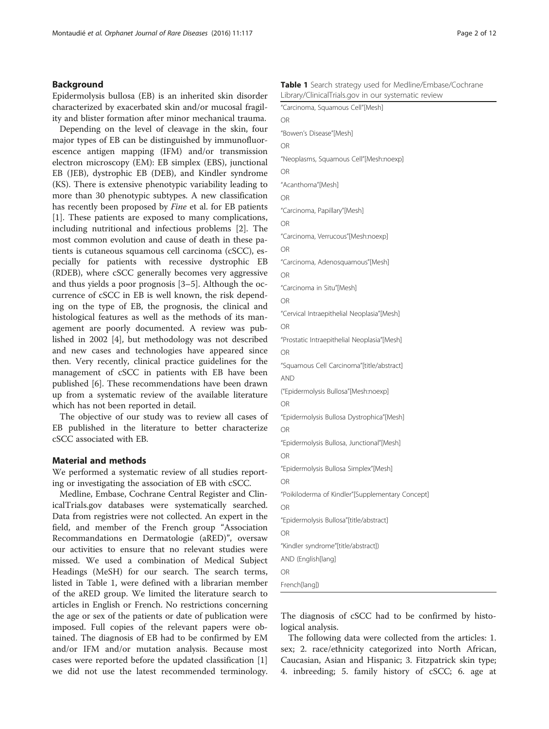### Background

Epidermolysis bullosa (EB) is an inherited skin disorder characterized by exacerbated skin and/or mucosal fragility and blister formation after minor mechanical trauma.

Depending on the level of cleavage in the skin, four major types of EB can be distinguished by immunofluorescence antigen mapping (IFM) and/or transmission electron microscopy (EM): EB simplex (EBS), junctional EB (JEB), dystrophic EB (DEB), and Kindler syndrome (KS). There is extensive phenotypic variability leading to more than 30 phenotypic subtypes. A new classification has recently been proposed by Fine et al. for EB patients [[1\]](#page-10-0). These patients are exposed to many complications, including nutritional and infectious problems [\[2](#page-10-0)]. The most common evolution and cause of death in these patients is cutaneous squamous cell carcinoma (cSCC), especially for patients with recessive dystrophic EB (RDEB), where cSCC generally becomes very aggressive and thus yields a poor prognosis [\[3](#page-10-0)–[5\]](#page-10-0). Although the occurrence of cSCC in EB is well known, the risk depending on the type of EB, the prognosis, the clinical and histological features as well as the methods of its management are poorly documented. A review was published in 2002 [\[4](#page-10-0)], but methodology was not described and new cases and technologies have appeared since then. Very recently, clinical practice guidelines for the management of cSCC in patients with EB have been published [[6\]](#page-10-0). These recommendations have been drawn up from a systematic review of the available literature which has not been reported in detail.

The objective of our study was to review all cases of EB published in the literature to better characterize cSCC associated with EB.

#### Material and methods

We performed a systematic review of all studies reporting or investigating the association of EB with cSCC.

Medline, Embase, Cochrane Central Register and ClinicalTrials.gov databases were systematically searched. Data from registries were not collected. An expert in the field, and member of the French group "Association Recommandations en Dermatologie (aRED)", oversaw our activities to ensure that no relevant studies were missed. We used a combination of Medical Subject Headings (MeSH) for our search. The search terms, listed in Table 1, were defined with a librarian member of the aRED group. We limited the literature search to articles in English or French. No restrictions concerning the age or sex of the patients or date of publication were imposed. Full copies of the relevant papers were obtained. The diagnosis of EB had to be confirmed by EM and/or IFM and/or mutation analysis. Because most cases were reported before the updated classification [\[1](#page-10-0)] we did not use the latest recommended terminology.

|  |  |                                                     | <b>Table 1</b> Search strategy used for Medline/Embase/Cochrane |  |
|--|--|-----------------------------------------------------|-----------------------------------------------------------------|--|
|  |  | Library/ClinicalTrials.gov in our systematic review |                                                                 |  |

| Library/ClinicalTrials.gov in our systematic review |
|-----------------------------------------------------|
| "Carcinoma, Squamous Cell"[Mesh]                    |
| OR                                                  |
| "Bowen's Disease"[Mesh]                             |
| <b>OR</b>                                           |
| "Neoplasms, Squamous Cell"[Mesh:noexp]              |
| <b>OR</b>                                           |
| "Acanthoma"[Mesh]                                   |
| <b>OR</b>                                           |
| "Carcinoma, Papillary"[Mesh]                        |
| <b>OR</b>                                           |
| "Carcinoma, Verrucous"[Mesh:noexp]                  |
| <b>OR</b>                                           |
| "Carcinoma, Adenosquamous"[Mesh]                    |
| <b>OR</b>                                           |
| "Carcinoma in Situ"[Mesh]                           |
| <b>OR</b>                                           |
| "Cervical Intraepithelial Neoplasia"[Mesh]          |
| <b>OR</b>                                           |
| "Prostatic Intraepithelial Neoplasia"[Mesh]         |
| <b>OR</b>                                           |
| "Squamous Cell Carcinoma"[title/abstract]           |
| <b>AND</b>                                          |
| ("Epidermolysis Bullosa"[Mesh:noexp]                |
| <b>OR</b>                                           |
| "Epidermolysis Bullosa Dystrophica"[Mesh]           |
| <b>OR</b>                                           |
| "Epidermolysis Bullosa, Junctional"[Mesh]           |
| <b>OR</b>                                           |
| "Epidermolysis Bullosa Simplex"[Mesh]               |
| <b>OR</b>                                           |
| "Poikiloderma of Kindler"[Supplementary Concept]    |
| <b>OR</b>                                           |
| "Epidermolysis Bullosa"[title/abstract]             |
| OR                                                  |
| "Kindler syndrome"[title/abstract])                 |
| AND (English[lang]                                  |
| OR                                                  |
| French[lang])                                       |

The diagnosis of cSCC had to be confirmed by histological analysis.

The following data were collected from the articles: 1. sex; 2. race/ethnicity categorized into North African, Caucasian, Asian and Hispanic; 3. Fitzpatrick skin type; 4. inbreeding; 5. family history of cSCC; 6. age at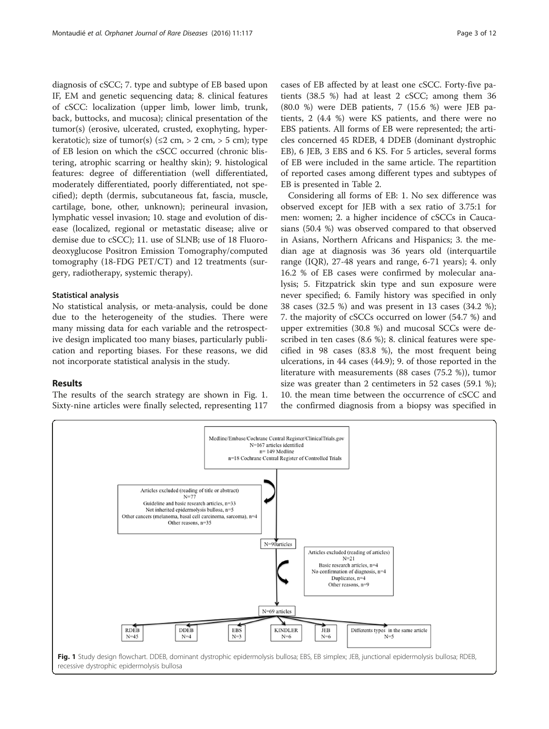diagnosis of cSCC; 7. type and subtype of EB based upon IF, EM and genetic sequencing data; 8. clinical features of cSCC: localization (upper limb, lower limb, trunk, back, buttocks, and mucosa); clinical presentation of the tumor(s) (erosive, ulcerated, crusted, exophyting, hyperkeratotic); size of tumor(s) ( $\leq$ 2 cm, > 2 cm, > 5 cm); type of EB lesion on which the cSCC occurred (chronic blistering, atrophic scarring or healthy skin); 9. histological features: degree of differentiation (well differentiated, moderately differentiated, poorly differentiated, not specified); depth (dermis, subcutaneous fat, fascia, muscle, cartilage, bone, other, unknown); perineural invasion, lymphatic vessel invasion; 10. stage and evolution of disease (localized, regional or metastatic disease; alive or demise due to cSCC); 11. use of SLNB; use of 18 Fluorodeoxyglucose Positron Emission Tomography/computed tomography (18-FDG PET/CT) and 12 treatments (surgery, radiotherapy, systemic therapy).

#### Statistical analysis

No statistical analysis, or meta-analysis, could be done due to the heterogeneity of the studies. There were many missing data for each variable and the retrospective design implicated too many biases, particularly publication and reporting biases. For these reasons, we did not incorporate statistical analysis in the study.

#### Results

The results of the search strategy are shown in Fig. 1. Sixty-nine articles were finally selected, representing 117 cases of EB affected by at least one cSCC. Forty-five patients (38.5 %) had at least 2 cSCC; among them 36 (80.0 %) were DEB patients, 7 (15.6 %) were JEB patients, 2 (4.4 %) were KS patients, and there were no EBS patients. All forms of EB were represented; the articles concerned 45 RDEB, 4 DDEB (dominant dystrophic EB), 6 JEB, 3 EBS and 6 KS. For 5 articles, several forms of EB were included in the same article. The repartition of reported cases among different types and subtypes of EB is presented in Table [2.](#page-3-0)

Considering all forms of EB: 1. No sex difference was observed except for JEB with a sex ratio of 3.75:1 for men: women; 2. a higher incidence of cSCCs in Caucasians (50.4 %) was observed compared to that observed in Asians, Northern Africans and Hispanics; 3. the median age at diagnosis was 36 years old (interquartile range (IQR), 27-48 years and range, 6-71 years); 4. only 16.2 % of EB cases were confirmed by molecular analysis; 5. Fitzpatrick skin type and sun exposure were never specified; 6. Family history was specified in only 38 cases (32.5 %) and was present in 13 cases (34.2 %); 7. the majority of cSCCs occurred on lower (54.7 %) and upper extremities (30.8 %) and mucosal SCCs were described in ten cases (8.6 %); 8. clinical features were specified in 98 cases (83.8 %), the most frequent being ulcerations, in 44 cases (44.9); 9. of those reported in the literature with measurements (88 cases (75.2 %)), tumor size was greater than 2 centimeters in 52 cases (59.1 %); 10. the mean time between the occurrence of cSCC and the confirmed diagnosis from a biopsy was specified in

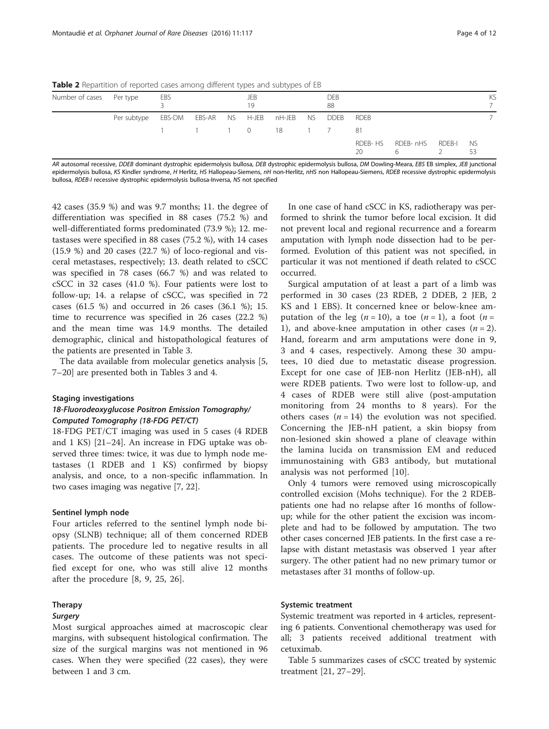<span id="page-3-0"></span>Table 2 Repartition of reported cases among different types and subtypes of EB

| Number of cases Per type |                                                        | EBS            |  | JEB<br>19 |  | DEB<br>88 |               |                         |  | KS |
|--------------------------|--------------------------------------------------------|----------------|--|-----------|--|-----------|---------------|-------------------------|--|----|
|                          | Per subtype EBS-DM EBS-AR NS H-JEB nH-JEB NS DDEB RDEB |                |  |           |  |           |               |                         |  |    |
|                          |                                                        | 1 1 1 0 18 1 7 |  |           |  |           | - 81          |                         |  |    |
|                          |                                                        |                |  |           |  |           | RDEB-HS<br>20 | RDEB-nHS RDEB-I NS<br>6 |  |    |

AR autosomal recessive, DDEB dominant dystrophic epidermolysis bullosa, DEB dystrophic epidermolysis bullosa, DM Dowling-Meara, EBS EB simplex, JEB junctional epidermolysis bullosa, KS Kindler syndrome, H Herlitz, HS Hallopeau-Siemens, nH non-Herlitz, nHS non Hallopeau-Siemens, RDEB recessive dystrophic epidermolysis bullosa, RDEB-I recessive dystrophic epidermolysis bullosa-Inversa, NS not specified

42 cases (35.9 %) and was 9.7 months; 11. the degree of differentiation was specified in 88 cases (75.2 %) and well-differentiated forms predominated (73.9 %); 12. metastases were specified in 88 cases (75.2 %), with 14 cases (15.9 %) and 20 cases (22.7 %) of loco-regional and visceral metastases, respectively; 13. death related to cSCC was specified in 78 cases (66.7 %) and was related to cSCC in 32 cases (41.0 %). Four patients were lost to follow-up; 14. a relapse of cSCC, was specified in 72 cases (61.5 %) and occurred in 26 cases (36.1 %); 15. time to recurrence was specified in 26 cases (22.2 %) and the mean time was 14.9 months. The detailed demographic, clinical and histopathological features of the patients are presented in Table [3.](#page-4-0)

The data available from molecular genetics analysis [\[5](#page-10-0), [7](#page-10-0)–[20](#page-11-0)] are presented both in Tables [3](#page-4-0) and [4.](#page-6-0)

#### Staging investigations

# 18-Fluorodeoxyglucose Positron Emission Tomography/ Computed Tomography (18-FDG PET/CT)

18-FDG PET/CT imaging was used in 5 cases (4 RDEB and 1 KS) [\[21](#page-11-0)–[24\]](#page-11-0). An increase in FDG uptake was observed three times: twice, it was due to lymph node metastases (1 RDEB and 1 KS) confirmed by biopsy analysis, and once, to a non-specific inflammation. In two cases imaging was negative [[7,](#page-10-0) [22\]](#page-11-0).

# Sentinel lymph node

Four articles referred to the sentinel lymph node biopsy (SLNB) technique; all of them concerned RDEB patients. The procedure led to negative results in all cases. The outcome of these patients was not specified except for one, who was still alive 12 months after the procedure [[8, 9](#page-10-0), [25](#page-11-0), [26\]](#page-11-0).

#### Therapy

# **Surgery**

Most surgical approaches aimed at macroscopic clear margins, with subsequent histological confirmation. The size of the surgical margins was not mentioned in 96 cases. When they were specified (22 cases), they were between 1 and 3 cm.

In one case of hand cSCC in KS, radiotherapy was performed to shrink the tumor before local excision. It did not prevent local and regional recurrence and a forearm amputation with lymph node dissection had to be performed. Evolution of this patient was not specified, in particular it was not mentioned if death related to cSCC occurred.

Surgical amputation of at least a part of a limb was performed in 30 cases (23 RDEB, 2 DDEB, 2 JEB, 2 KS and 1 EBS). It concerned knee or below-knee amputation of the leg  $(n = 10)$ , a toe  $(n = 1)$ , a foot  $(n = 1)$ 1), and above-knee amputation in other cases  $(n = 2)$ . Hand, forearm and arm amputations were done in 9, 3 and 4 cases, respectively. Among these 30 amputees, 10 died due to metastatic disease progression. Except for one case of JEB-non Herlitz (JEB-nH), all were RDEB patients. Two were lost to follow-up, and 4 cases of RDEB were still alive (post-amputation monitoring from 24 months to 8 years). For the others cases  $(n = 14)$  the evolution was not specified. Concerning the JEB-nH patient, a skin biopsy from non-lesioned skin showed a plane of cleavage within the lamina lucida on transmission EM and reduced immunostaining with GB3 antibody, but mutational analysis was not performed [[10\]](#page-10-0).

Only 4 tumors were removed using microscopically controlled excision (Mohs technique). For the 2 RDEBpatients one had no relapse after 16 months of followup; while for the other patient the excision was incomplete and had to be followed by amputation. The two other cases concerned JEB patients. In the first case a relapse with distant metastasis was observed 1 year after surgery. The other patient had no new primary tumor or metastases after 31 months of follow-up.

#### Systemic treatment

Systemic treatment was reported in 4 articles, representing 6 patients. Conventional chemotherapy was used for all; 3 patients received additional treatment with cetuximab.

Table [5](#page-7-0) summarizes cases of cSCC treated by systemic treatment [[21, 27](#page-11-0)–[29](#page-11-0)].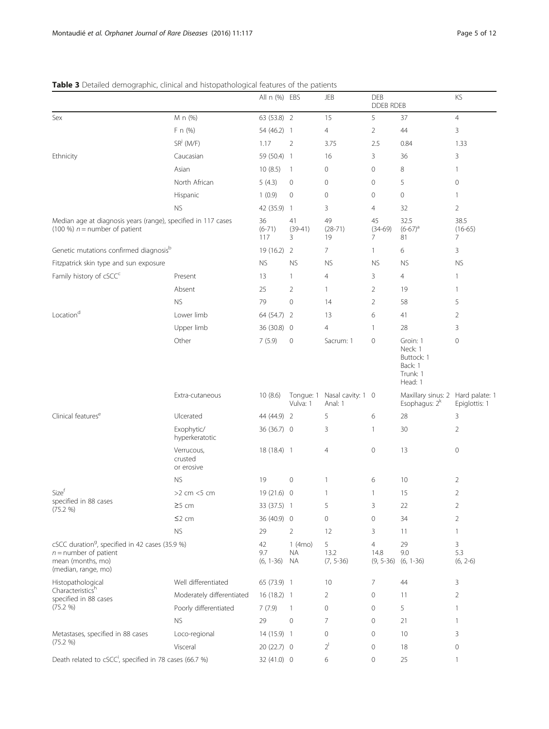# <span id="page-4-0"></span>Table 3 Detailed demographic, clinical and histopathological features of the patients

|                                                                                                                                    |                                     | All n (%) EBS            |                            | JEB                          | <b>DEB</b><br>DDEB RDEB               |                                                                     | KS                     |
|------------------------------------------------------------------------------------------------------------------------------------|-------------------------------------|--------------------------|----------------------------|------------------------------|---------------------------------------|---------------------------------------------------------------------|------------------------|
| Sex                                                                                                                                | M n (%)                             | 63 (53.8) 2              |                            | 15                           | 5                                     | 37                                                                  | $\overline{4}$         |
|                                                                                                                                    | F n (%)                             | 54 (46.2) 1              |                            | $\overline{4}$               | $\overline{2}$                        | 44                                                                  | 3                      |
|                                                                                                                                    | $SR^{j}$ (M/F)                      | 1.17                     | $\overline{2}$             | 3.75                         | 2.5                                   | 0.84                                                                | 1.33                   |
| Ethnicity                                                                                                                          | Caucasian                           | 59 (50.4) 1              |                            | 16                           | 3                                     | 36                                                                  | 3                      |
|                                                                                                                                    | Asian                               | 10(8.5)                  | $\overline{1}$             | 0                            | 0                                     | 8                                                                   | 1                      |
|                                                                                                                                    | North African                       | 5(4.3)                   | $\mathbf 0$                | $\mathbf 0$                  | 0                                     | 5                                                                   | $\mathbf 0$            |
|                                                                                                                                    | Hispanic                            | 1(0.9)                   | $\mathbf 0$                | $\mathbf 0$                  | 0                                     | $\circ$                                                             | 1                      |
|                                                                                                                                    | <b>NS</b>                           | 42 (35.9) 1              |                            | 3                            | 4                                     | 32                                                                  | $\overline{2}$         |
| Median age at diagnosis years (range), specified in 117 cases<br>(100 %) $n =$ number of patient                                   |                                     | 36<br>$(6-71)$<br>117    | 41<br>$(39-41)$<br>3       | 49<br>$(28-71)$<br>19        | 45<br>$(34-69)$<br>7                  | 32.5<br>$(6-67)^a$<br>81                                            | 38.5<br>$(16-65)$<br>7 |
| Genetic mutations confirmed diagnosisb                                                                                             |                                     | $19(16.2)$ 2             |                            | $\overline{7}$               | $\mathbf{1}$                          | 6                                                                   | 3                      |
| Fitzpatrick skin type and sun exposure                                                                                             |                                     | <b>NS</b>                | <b>NS</b>                  | <b>NS</b>                    | <b>NS</b>                             | <b>NS</b>                                                           | <b>NS</b>              |
| Family history of cSCC <sup>c</sup>                                                                                                | Present                             | 13                       | 1                          | $\overline{4}$               | 3                                     | $\overline{4}$                                                      | 1                      |
|                                                                                                                                    | Absent                              | 25                       | $\overline{2}$             | $\mathbf{1}$                 | $\overline{2}$                        | 19                                                                  | 1                      |
|                                                                                                                                    | <b>NS</b>                           | 79                       | $\circ$                    | 14                           | $\overline{2}$                        | 58                                                                  | 5                      |
| Location <sup>d</sup>                                                                                                              | Lower limb                          | 64 (54.7) 2              |                            | 13                           | 6                                     | 41                                                                  | $\overline{2}$         |
|                                                                                                                                    | Upper limb                          | 36 (30.8) 0              |                            | $\overline{4}$               | $\mathbf{1}$                          | 28                                                                  | 3                      |
|                                                                                                                                    | Other                               | 7(5.9)                   | $\mathbf 0$                | Sacrum: 1                    | 0                                     | Groin: 1<br>Neck: 1<br>Buttock: 1<br>Back: 1<br>Trunk: 1<br>Head: 1 | $\mathbf 0$            |
|                                                                                                                                    | Extra-cutaneous                     | 10(8.6)                  | Tongue: 1<br>Vulva: 1      | Nasal cavity: 1 0<br>Anal: 1 |                                       | Maxillary sinus: 2 Hard palate: 1<br>Esophagus: 2 <sup>k</sup>      | Epiglottis: 1          |
| Clinical features <sup>e</sup>                                                                                                     | Ulcerated                           | 44 (44.9) 2              |                            | 5                            | 6                                     | 28                                                                  | 3                      |
|                                                                                                                                    | Exophytic/<br>hyperkeratotic        | 36 (36.7) 0              |                            | 3                            | $\mathbf{1}$                          | 30                                                                  | $\overline{2}$         |
|                                                                                                                                    | Verrucous,<br>crusted<br>or erosive | 18 (18.4) 1              |                            | $\overline{4}$               | 0                                     | 13                                                                  | $\mathbf 0$            |
|                                                                                                                                    | <b>NS</b>                           | 19                       | $\mathbf 0$                | $\mathbf{1}$                 | 6                                     | 10                                                                  | 2                      |
| Size <sup>†</sup>                                                                                                                  | $>2$ cm $<5$ cm                     | $19(21.6)$ 0             |                            | 1                            | 1                                     | 15                                                                  | $\overline{2}$         |
| specified in 88 cases<br>(75.2 %)                                                                                                  | $\geq$ 5 cm                         | 33 (37.5) 1              |                            | 5                            | 3                                     | $22\,$                                                              | $\overline{2}$         |
|                                                                                                                                    | $\leq$ 2 cm                         | 36 (40.9) 0              |                            | 0                            | 0                                     | 34                                                                  | $\overline{2}$         |
|                                                                                                                                    | <b>NS</b>                           | 29                       | $\overline{2}$             | 12                           | 3                                     | 11                                                                  | 1                      |
| cSCC duration <sup>9</sup> , specified in 42 cases (35.9 %)<br>$n =$ number of patient<br>mean (months, mo)<br>(median, range, mo) |                                     | 42<br>9.7<br>$(6, 1-36)$ | $1$ (4 $mo$ )<br>ΝA<br>NA. | 5<br>13.2<br>$(7, 5-36)$     | $\overline{4}$<br>14.8<br>$(9, 5-36)$ | 29<br>9.0<br>$(6, 1-36)$                                            | 3<br>5.3<br>$(6, 2-6)$ |
| Histopathological                                                                                                                  | Well differentiated                 | 65 (73.9) 1              |                            | 10                           | 7                                     | 44                                                                  | 3                      |
| Characteristicsh<br>specified in 88 cases                                                                                          | Moderately differentiated           | $16(18.2)$ 1             |                            | 2                            | 0                                     | 11                                                                  | 2                      |
| (75.2 %)                                                                                                                           | Poorly differentiated               | 7(7.9)                   | -1                         | 0                            | 0                                     | 5                                                                   | 1                      |
|                                                                                                                                    | <b>NS</b>                           | 29                       | $\mathbf 0$                | $\overline{7}$               | 0                                     | 21                                                                  | 1                      |
| Metastases, specified in 88 cases                                                                                                  | Loco-regional                       | 14 (15.9) 1              |                            | 0                            | 0                                     | 10                                                                  | 3                      |
| (75.2 %)                                                                                                                           | Visceral                            | 20 (22.7) 0              |                            | $2^{1}$                      | 0                                     | 18                                                                  | 0                      |
| Death related to cSCC <sup>i</sup> , specified in 78 cases (66.7 %)                                                                |                                     | 32 (41.0) 0              |                            | 6                            | 0                                     | 25                                                                  | 1                      |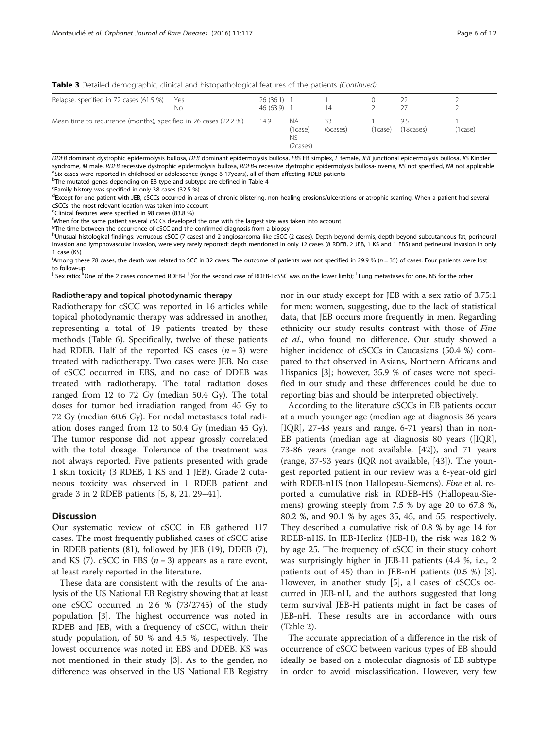Table 3 Detailed demographic, clinical and histopathological features of the patients (Continued)

| Relapse, specified in 72 cases (61.5 %)                          | Yes<br>No | 26(36.1)<br>46 (63.9) |                                        | 14       |         |                 |          |
|------------------------------------------------------------------|-----------|-----------------------|----------------------------------------|----------|---------|-----------------|----------|
| Mean time to recurrence (months), specified in 26 cases (22.2 %) |           |                       | ΝA<br>(1case)<br><b>NS</b><br>(2cases) | (6cases) | (1case) | 95<br>(18cases) | '1 case) |

DDEB dominant dystrophic epidermolysis bullosa, DEB dominant epidermolysis bullosa, EBS EB simplex, F female, JEB iunctional epidermolysis bullosa, KS Kindler syndrome, M male, RDEB recessive dystrophic epidermolysis bullosa, RDEB-I recessive dystrophic epidermolysis bullosa-Inversa, NS not specified, NA not applicable <sup>a</sup>Six cases were reported in childhood or adolescence (range 6-17years), all of them affecting RDEB patients

<sup>b</sup>The mutated genes depending on EB type and subtype are defined in Table [4](#page-6-0)<br><sup>CE</sup>amily history was specified in only 38 cases (32.5 %)

Family history was specified in only 38 cases (32.5 %)

<sup>d</sup>Except for one patient with JEB, cSCCs occurred in areas of chronic blistering, non-healing erosions/ulcerations or atrophic scarring. When a patient had several cSCCs, the most relevant location was taken into account

e Clinical features were specified in 98 cases (83.8 %)

f When for the same patient several cSCCs developed the one with the largest size was taken into account

<sup>9</sup>The time between the occurrence of cSCC and the confirmed diagnosis from a biopsy

hUnusual histological findings: verrucous cSCC (7 cases) and 2 angiosarcoma-like cSCC (2 cases). Depth beyond dermis, depth beyond subcutaneous fat, perineural invasion and lymphovascular invasion, were very rarely reported: depth mentioned in only 12 cases (8 RDEB, 2 JEB, 1 KS and 1 EBS) and perineural invasion in only 1 case (KS)

<sup>i</sup>Among these 78 cases, the death was related to SCC in 32 cases. The outcome of patients was not specified in 29.9 % (n = 35) of cases. Four patients were lost to follow-up

<sup>j</sup> Sex ratio; <sup>k</sup>One of the 2 cases concerned RDEB-I <sup>j</sup> (for the second case of RDEB-I cSSC was on the lower limb); <sup>1</sup> Lung metastases for one, NS for the other

#### Radiotherapy and topical photodynamic therapy

Radiotherapy for cSCC was reported in 16 articles while topical photodynamic therapy was addressed in another, representing a total of 19 patients treated by these methods (Table [6](#page-8-0)). Specifically, twelve of these patients had RDEB. Half of the reported KS cases  $(n = 3)$  were treated with radiotherapy. Two cases were JEB. No case of cSCC occurred in EBS, and no case of DDEB was treated with radiotherapy. The total radiation doses ranged from 12 to 72 Gy (median 50.4 Gy). The total doses for tumor bed irradiation ranged from 45 Gy to 72 Gy (median 60.6 Gy). For nodal metastases total radiation doses ranged from 12 to 50.4 Gy (median 45 Gy). The tumor response did not appear grossly correlated with the total dosage. Tolerance of the treatment was not always reported. Five patients presented with grade 1 skin toxicity (3 RDEB, 1 KS and 1 JEB). Grade 2 cutaneous toxicity was observed in 1 RDEB patient and grade 3 in 2 RDEB patients [\[5](#page-10-0), [8](#page-10-0), [21](#page-11-0), [29](#page-11-0)–[41\]](#page-11-0).

#### **Discussion**

Our systematic review of cSCC in EB gathered 117 cases. The most frequently published cases of cSCC arise in RDEB patients (81), followed by JEB (19), DDEB (7), and KS (7). cSCC in EBS  $(n = 3)$  appears as a rare event, at least rarely reported in the literature.

These data are consistent with the results of the analysis of the US National EB Registry showing that at least one cSCC occurred in 2.6 % (73/2745) of the study population [[3](#page-10-0)]. The highest occurrence was noted in RDEB and JEB, with a frequency of cSCC, within their study population, of 50 % and 4.5 %, respectively. The lowest occurrence was noted in EBS and DDEB. KS was not mentioned in their study [\[3](#page-10-0)]. As to the gender, no difference was observed in the US National EB Registry nor in our study except for JEB with a sex ratio of 3.75:1 for men: women, suggesting, due to the lack of statistical data, that JEB occurs more frequently in men. Regarding ethnicity our study results contrast with those of Fine et al., who found no difference. Our study showed a higher incidence of cSCCs in Caucasians (50.4 %) compared to that observed in Asians, Northern Africans and Hispanics [\[3](#page-10-0)]; however, 35.9 % of cases were not specified in our study and these differences could be due to reporting bias and should be interpreted objectively.

According to the literature cSCCs in EB patients occur at a much younger age (median age at diagnosis 36 years [IQR], 27-48 years and range, 6-71 years) than in non-EB patients (median age at diagnosis 80 years ([IQR], 73-86 years (range not available, [\[42](#page-11-0)]), and 71 years (range, 37-93 years (IQR not available, [[43\]](#page-11-0)). The youngest reported patient in our review was a 6-year-old girl with RDEB-nHS (non Hallopeau-Siemens). Fine et al. reported a cumulative risk in RDEB-HS (Hallopeau-Siemens) growing steeply from 7.5 % by age 20 to 67.8 %, 80.2 %, and 90.1 % by ages 35, 45, and 55, respectively. They described a cumulative risk of 0.8 % by age 14 for RDEB-nHS. In JEB-Herlitz (JEB-H), the risk was 18.2 % by age 25. The frequency of cSCC in their study cohort was surprisingly higher in JEB-H patients (4.4 %, i.e., 2 patients out of 45) than in JEB-nH patients (0.5 %) [\[3](#page-10-0)]. However, in another study [[5](#page-10-0)], all cases of cSCCs occurred in JEB-nH, and the authors suggested that long term survival JEB-H patients might in fact be cases of JEB-nH. These results are in accordance with ours (Table [2\)](#page-3-0).

The accurate appreciation of a difference in the risk of occurrence of cSCC between various types of EB should ideally be based on a molecular diagnosis of EB subtype in order to avoid misclassification. However, very few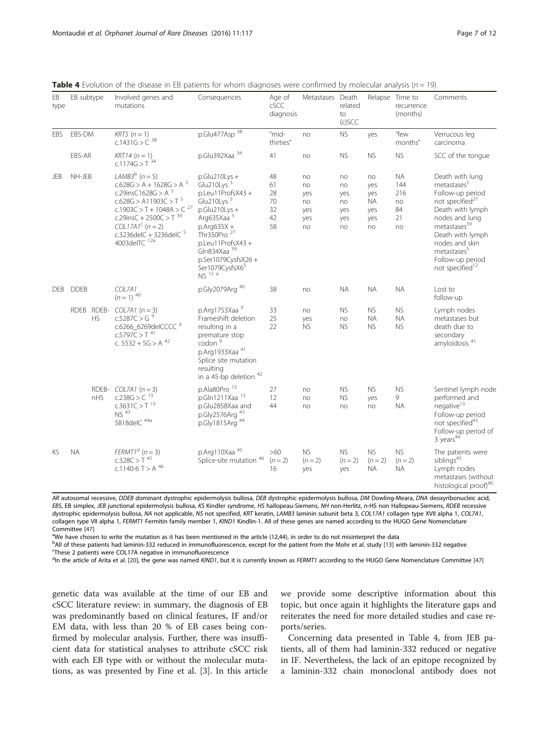| EB<br>type | EB subtype  |                        | Involved genes and<br>mutations                                                                                                                                                                                                                            | Consequences                                                                                                                                                                                                                                                                 | Age of<br>cSCC<br>diagnosis            | Metastases Death                          | related<br>to<br>$(c)$ SCC                |                                            | Relapse Time to<br>recurrence<br>(months)       | Comments                                                                                                                                                                                                                                                                            |
|------------|-------------|------------------------|------------------------------------------------------------------------------------------------------------------------------------------------------------------------------------------------------------------------------------------------------------|------------------------------------------------------------------------------------------------------------------------------------------------------------------------------------------------------------------------------------------------------------------------------|----------------------------------------|-------------------------------------------|-------------------------------------------|--------------------------------------------|-------------------------------------------------|-------------------------------------------------------------------------------------------------------------------------------------------------------------------------------------------------------------------------------------------------------------------------------------|
| EBS        | EBS-DM      |                        | $KRT5$ ( $n = 1$ )<br>c.1431G > $C^{38}$                                                                                                                                                                                                                   | p.Glu477Asp <sup>38</sup>                                                                                                                                                                                                                                                    | "mid-<br>thirties"                     | no                                        | <b>NS</b>                                 | yes                                        | "few<br>months"                                 | Verrucous leg<br>carcinoma                                                                                                                                                                                                                                                          |
|            | EBS-AR      |                        | $KRT14 (n = 1)$<br>c.1174G > $T^{34}$                                                                                                                                                                                                                      | p.Glu392Xaa 34                                                                                                                                                                                                                                                               | 41                                     | no                                        | <b>NS</b>                                 | <b>NS</b>                                  | <b>NS</b>                                       | SCC of the tonque                                                                                                                                                                                                                                                                   |
| JEB        | NH-JEB      |                        | LAMB3 <sup>b</sup> $(n=5)$<br>$c.628G > A + 1628G > A5$<br>c.29insC1628G > A $5$<br>$c.628G > A11903C > T$ <sup>5</sup><br>$c.1903C > T + 1048A > C^{27}$<br>c.29insC + 2500C > T $39$<br>$COL17A1c$ (n = 2)<br>c.3236delC + 3236delC $5$<br>4003delTC 12a | $p.Glu210Lys +$<br>Glu210Lys <sup>5</sup><br>p.Leu11ProfsX43+<br>Glu210Lys <sup>5</sup><br>$p.Glu210Lys +$<br>Arg635Xaa 5<br>$p$ .Arg $635X +$<br>Thr350Pro <sup>27</sup><br>p.Leu11ProfsX43+<br>Gln834Xaa <sup>39</sup><br>p.Ser1079CysfsX26+<br>Ser1079CysfsX65<br>NS 12 a | 48<br>61<br>28<br>70<br>32<br>42<br>58 | no<br>no<br>yes<br>no<br>yes<br>yes<br>no | no<br>no<br>yes<br>no<br>yes<br>yes<br>no | no<br>yes<br>yes<br>ΝA<br>yes<br>yes<br>no | <b>NA</b><br>144<br>216<br>no<br>84<br>21<br>no | Death with lung<br>metastases <sup>5</sup><br>Follow-up period<br>not specified <sup>27</sup><br>Death with lymph<br>nodes and lung<br>metastases <sup>39</sup><br>Death with lymph<br>nodes and skin<br>metastases <sup>5</sup><br>Follow-up period<br>not specified <sup>12</sup> |
| <b>DEB</b> | <b>DDEB</b> | COL7A1<br>$(n=1)^{40}$ |                                                                                                                                                                                                                                                            | p.Gly2079Arg 40                                                                                                                                                                                                                                                              | 38                                     | no                                        | <b>NA</b>                                 | <b>NA</b>                                  | <b>NA</b>                                       | Lost to<br>follow-up                                                                                                                                                                                                                                                                |
|            | RDEB RDEB-  | <b>HS</b>              | $COL7A1 (n = 3)$<br>c.5287C > G <sup>9</sup><br>c.6266_6269delCCCC <sup>9</sup><br>$C.5797C > T^{41}$<br>c. $5532 + 5G > A^{42}$                                                                                                                           | p.Arg1753Xaa 9<br>Frameshift deletion<br>resulting in a<br>premature stop<br>codon <sup>9</sup><br>p.Arg1933Xaa 41<br>Splice site mutation<br>resulting<br>in a 45-bp deletion <sup>42</sup>                                                                                 | 33<br>25<br>22                         | no<br>yes<br><b>NS</b>                    | <b>NS</b><br>no<br><b>NS</b>              | <b>NS</b><br><b>NA</b><br><b>NS</b>        | <b>NS</b><br><b>NA</b><br><b>NS</b>             | Lymph nodes<br>metastases but<br>death due to<br>secondary<br>amyloidosis <sup>41</sup>                                                                                                                                                                                             |
|            |             | nHS                    | RDEB- $COLZA1 (n = 3)$<br>c.238G > $C^{13}$<br>$c.3631C > T^{13}$<br>NS <sup>43</sup><br>5818delC 44a                                                                                                                                                      | p.Ala80Pro <sup>13</sup><br>p.Gln1211Xaa 13<br>p.Glu2858Xaa and<br>p.Gly2576Arg <sup>43</sup><br>p.Gly1815Arg <sup>44</sup>                                                                                                                                                  | 27<br>12<br>44                         | no<br>no<br>no                            | <b>NS</b><br><b>NS</b><br>no              | <b>NS</b><br>yes<br>no                     | <b>NS</b><br>9<br><b>NA</b>                     | Sentinel lymph node<br>performed and<br>negative <sup>13</sup><br>Follow-up period<br>not specified <sup>43</sup><br>Follow-up period of<br>3 years <sup>44</sup>                                                                                                                   |
| KS         | <b>NA</b>   |                        | FERMT1 <sup>d</sup> $(n = 3)$<br>$c.328C > T$ <sup>45</sup><br>c.1140-6 T > A $46$                                                                                                                                                                         | p.Arg110Xaa <sup>45</sup><br>Splice-site mutation <sup>46</sup>                                                                                                                                                                                                              | $>60$<br>$(n = 2)$<br>16               | <b>NS</b><br>$(n = 2)$<br>yes             | <b>NS</b><br>$(n=2)$<br>yes               | <b>NS</b><br>$(n=2)$<br><b>NA</b>          | <b>NS</b><br>$(n = 2)$<br><b>NA</b>             | The patients were<br>siblings <sup>45</sup><br>Lymph nodes<br>metastases (without<br>histological proof) <sup>46</sup>                                                                                                                                                              |

<span id="page-6-0"></span>**Table 4** Evolution of the disease in EB patients for whom diagnoses were confirmed by molecular analysis ( $n = 19$ )

AR autosomal recessive, DDEB dominant dystrophic epidermolysis bullosa, DEB dystrophic epidermolysis bullosa, DM Dowling-Meara, DNA deoxyribonucleic acid, EBS, EB simplex, JEB junctional epidermolysis bullosa, KS Kindler syndrome, HS hallopeau-Siemens, NH non-Herlitz, n-HS non Hallopeau-Siemens, RDEB recessive dystrophic epidermolysis bullosa, NA not applicable, NS not specified, KRT keratin, LAMB3 laminin subunit beta 3, COL17A1 collagen type XVII alpha 1, COL7A1, collagen type VII alpha 1, FERMT1 Fermitin family member 1, KIND1 Kindlin-1. All of these genes are named according to the HUGO Gene Nomenclature Committee [\[47\]](#page-11-0)

<sup>a</sup>We have chosen to write the mutation as it has been mentioned in the article (12,44), in order to do not misinterpret the data

b<sub>All</sub> of these patients had laminin-332 reduced in immunofluorescence, except for the patient from the Mohr et al. study [\[13](#page-10-0)] with laminin-332 negative<br>SThese 2 patients were COL17A pegative in immunofluorescence These 2 patients were COL17A negative in immunofluorescence

<sup>d</sup>In the article of Arita et al. [[20](#page-11-0)], the gene was named *KIND1*, but it is currently known as FERMT1 according to the HUGO Gene Nomenclature Committee [[47\]](#page-11-0)

genetic data was available at the time of our EB and cSCC literature review: in summary, the diagnosis of EB was predominantly based on clinical features, IF and/or EM data, with less than 20 % of EB cases being confirmed by molecular analysis. Further, there was insufficient data for statistical analyses to attribute cSCC risk with each EB type with or without the molecular mutations, as was presented by Fine et al. [\[3\]](#page-10-0). In this article we provide some descriptive information about this topic, but once again it highlights the literature gaps and reiterates the need for more detailed studies and case reports/series.

Concerning data presented in Table 4, from JEB patients, all of them had laminin-332 reduced or negative in IF. Nevertheless, the lack of an epitope recognized by a laminin-332 chain monoclonal antibody does not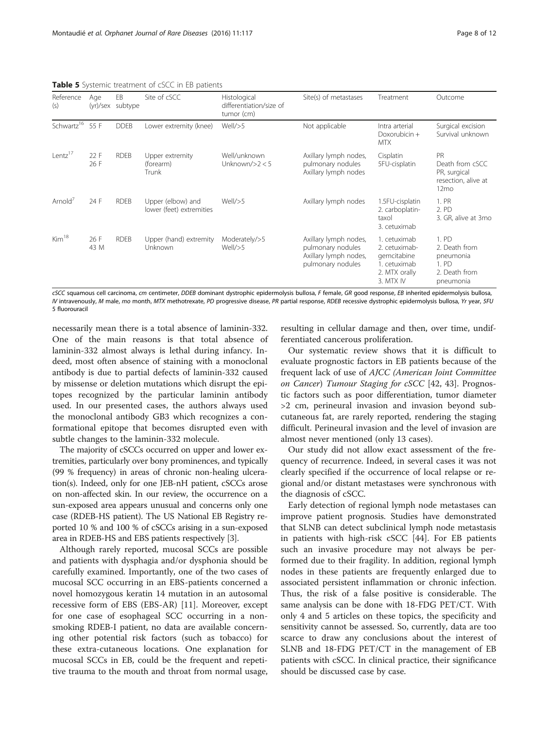| Reference<br>(s)            | Age          | EB<br>(yr)/sex subtype | Site of cSCC                                  | Histological<br>differentiation/size of<br>tumor (cm) | Site(s) of metastases                                                                    | Treatment                                                                                  | Outcome                                                                          |
|-----------------------------|--------------|------------------------|-----------------------------------------------|-------------------------------------------------------|------------------------------------------------------------------------------------------|--------------------------------------------------------------------------------------------|----------------------------------------------------------------------------------|
| Schwartz <sup>16</sup> 55 F |              | <b>DDEB</b>            | Lower extremity (knee)                        | Well/>5                                               | Not applicable                                                                           | Intra arterial<br>Doxorubicin +<br><b>MTX</b>                                              | Surgical excision<br>Survival unknown                                            |
| Lentz <sup>17</sup>         | 22 F<br>26 F | <b>RDEB</b>            | Upper extremity<br>(forearm)<br>Trunk         | Well/unknown<br>Unknown/ $>2 < 5$                     | Axillary lymph nodes,<br>pulmonary nodules<br>Axillary lymph nodes                       | Cisplatin<br>5FU-cisplatin                                                                 | PR<br>Death from cSCC<br>PR, surgical<br>resection, alive at<br>12 <sub>mo</sub> |
| Arnold <sup>7</sup>         | 24 F         | <b>RDEB</b>            | Upper (elbow) and<br>lower (feet) extremities | Well/>5                                               | Axillary lymph nodes                                                                     | 1.5FU-cisplatin<br>2. carboplatin-<br>taxol<br>3. cetuximab                                | 1. PR<br>2. PD<br>3. GR, alive at 3mo                                            |
| Kim <sup>18</sup>           | 26 F<br>43 M | <b>RDEB</b>            | Upper (hand) extremity<br>Unknown             | Moderately/>5<br>Well/>5                              | Axillary lymph nodes,<br>pulmonary nodules<br>Axillary lymph nodes,<br>pulmonary nodules | 1. cetuximab<br>2. cetuximab-<br>gemcitabine<br>1. cetuximab<br>2. MTX orally<br>3. MTX IV | 1. PD<br>2. Death from<br>pneumonia<br>1. PD<br>2. Death from<br>pneumonia       |

<span id="page-7-0"></span>Table 5 Systemic treatment of cSCC in FB patients

cSCC squamous cell carcinoma, cm centimeter, DDEB dominant dystrophic epidermolysis bullosa, F female, GR good response, EB inherited epidermolysis bullosa, IV intravenously, M male, mo month, MTX methotrexate, PD progressive disease, PR partial response, RDEB recessive dystrophic epidermolysis bullosa, Yr year, 5FU 5 fluorouracil

necessarily mean there is a total absence of laminin-332. One of the main reasons is that total absence of laminin-332 almost always is lethal during infancy. Indeed, most often absence of staining with a monoclonal antibody is due to partial defects of laminin-332 caused by missense or deletion mutations which disrupt the epitopes recognized by the particular laminin antibody used. In our presented cases, the authors always used the monoclonal antibody GB3 which recognizes a conformational epitope that becomes disrupted even with subtle changes to the laminin-332 molecule.

The majority of cSCCs occurred on upper and lower extremities, particularly over bony prominences, and typically (99 % frequency) in areas of chronic non-healing ulceration(s). Indeed, only for one JEB-nH patient, cSCCs arose on non-affected skin. In our review, the occurrence on a sun-exposed area appears unusual and concerns only one case (RDEB-HS patient). The US National EB Registry reported 10 % and 100 % of cSCCs arising in a sun-exposed area in RDEB-HS and EBS patients respectively [[3](#page-10-0)].

Although rarely reported, mucosal SCCs are possible and patients with dysphagia and/or dysphonia should be carefully examined. Importantly, one of the two cases of mucosal SCC occurring in an EBS-patients concerned a novel homozygous keratin 14 mutation in an autosomal recessive form of EBS (EBS-AR) [[11](#page-10-0)]. Moreover, except for one case of esophageal SCC occurring in a nonsmoking RDEB-I patient, no data are available concerning other potential risk factors (such as tobacco) for these extra-cutaneous locations. One explanation for mucosal SCCs in EB, could be the frequent and repetitive trauma to the mouth and throat from normal usage,

resulting in cellular damage and then, over time, undifferentiated cancerous proliferation.

Our systematic review shows that it is difficult to evaluate prognostic factors in EB patients because of the frequent lack of use of AJCC (American Joint Committee on Cancer) Tumour Staging for cSCC [\[42](#page-11-0), [43\]](#page-11-0). Prognostic factors such as poor differentiation, tumor diameter >2 cm, perineural invasion and invasion beyond subcutaneous fat, are rarely reported, rendering the staging difficult. Perineural invasion and the level of invasion are almost never mentioned (only 13 cases).

Our study did not allow exact assessment of the frequency of recurrence. Indeed, in several cases it was not clearly specified if the occurrence of local relapse or regional and/or distant metastases were synchronous with the diagnosis of cSCC.

Early detection of regional lymph node metastases can improve patient prognosis. Studies have demonstrated that SLNB can detect subclinical lymph node metastasis in patients with high-risk cSCC [[44](#page-11-0)]. For EB patients such an invasive procedure may not always be performed due to their fragility. In addition, regional lymph nodes in these patients are frequently enlarged due to associated persistent inflammation or chronic infection. Thus, the risk of a false positive is considerable. The same analysis can be done with 18-FDG PET/CT. With only 4 and 5 articles on these topics, the specificity and sensitivity cannot be assessed. So, currently, data are too scarce to draw any conclusions about the interest of SLNB and 18-FDG PET/CT in the management of EB patients with cSCC. In clinical practice, their significance should be discussed case by case.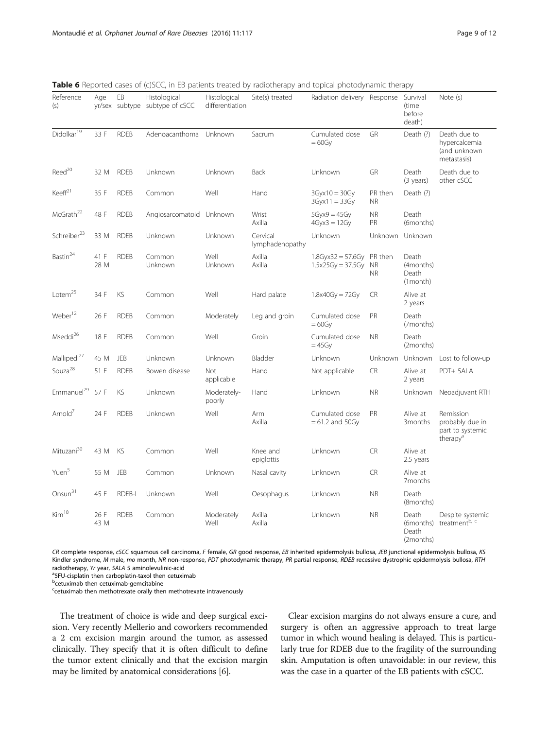| Reference<br>(s)        | Age          | EB          | Histological<br>yr/sex subtype subtype of cSCC | Histological<br>differentiation | Site(s) treated             | Radiation delivery Response                     |                                   | Survival<br>(time<br>before<br>death)   | Note (s)                                                                 |
|-------------------------|--------------|-------------|------------------------------------------------|---------------------------------|-----------------------------|-------------------------------------------------|-----------------------------------|-----------------------------------------|--------------------------------------------------------------------------|
| Didolkar <sup>19</sup>  | 33 F         | <b>RDEB</b> | Adenoacanthoma                                 | Unknown                         | Sacrum                      | Cumulated dose<br>$= 60$ Gy                     | GR                                | Death (?)                               | Death due to<br>hypercalcemia<br>(and unknown<br>metastasis)             |
| $\text{Reed}^{20}$      | 32 M         | <b>RDEB</b> | Unknown                                        | Unknown                         | <b>Back</b>                 | Unknown                                         | GR                                | Death<br>(3 years)                      | Death due to<br>other cSCC                                               |
| Keeff <sup>21</sup>     | 35 F         | <b>RDEB</b> | Common                                         | Well                            | Hand                        | $3Gyx10 = 30Gy$<br>$3Gyx11 = 33Gy$              | PR then<br><b>NR</b>              | Death (?)                               |                                                                          |
| McGrath <sup>22</sup>   | 48 F         | <b>RDEB</b> | Angiosarcomatoid Unknown                       |                                 | Wrist<br>Axilla             | $5Gyx9 = 45Gy$<br>$4Gyx3 = 12Gy$                | <b>NR</b><br>PR                   | Death<br>(6months)                      |                                                                          |
| Schreiber <sup>23</sup> | 33 M         | <b>RDEB</b> | Unknown                                        | Unknown                         | Cervical<br>lymphadenopathy | Unknown                                         | Unknown                           | Unknown                                 |                                                                          |
| $\mathsf{Bastin}^{24}$  | 41 F<br>28 M | <b>RDEB</b> | Common<br>Unknown                              | Well<br>Unknown                 | Axilla<br>Axilla            | $1.8$ Gyx $32 = 57.6$ Gy<br>$1.5x25Gy = 37.5Gy$ | PR then<br><b>NR</b><br><b>NR</b> | Death<br>(4months)<br>Death<br>(1month) |                                                                          |
| Lotem <sup>25</sup>     | 34 F         | KS          | Common                                         | Well                            | Hard palate                 | $1.8x40Gv = 72Gv$                               | <b>CR</b>                         | Alive at<br>2 years                     |                                                                          |
| Weber <sup>12</sup>     | 26 F         | <b>RDEB</b> | Common                                         | Moderately                      | Leg and groin               | Cumulated dose<br>$=60$ Gy                      | PR                                | Death<br>(7months)                      |                                                                          |
| Mseddi <sup>26</sup>    | 18 F         | <b>RDEB</b> | Common                                         | Well                            | Groin                       | Cumulated dose<br>$=45Gy$                       | <b>NR</b>                         | Death<br>(2months)                      |                                                                          |
| Mallipedi <sup>27</sup> | 45 M         | <b>JEB</b>  | Unknown                                        | Unknown                         | Bladder                     | Unknown                                         | Unknown                           | Unknown                                 | Lost to follow-up                                                        |
| Souza <sup>28</sup>     | 51 F         | <b>RDEB</b> | Bowen disease                                  | Not<br>applicable               | Hand                        | Not applicable                                  | <b>CR</b>                         | Alive at<br>2 years                     | PDT+ 5ALA                                                                |
| Emmanuel <sup>29</sup>  | 57 F         | KS          | Unknown                                        | Moderately-<br>poorly           | Hand                        | Unknown                                         | <b>NR</b>                         | Unknown                                 | Neoadjuvant RTH                                                          |
| Arnold $7$              | 24 F         | <b>RDEB</b> | Unknown                                        | Well                            | Arm<br>Axilla               | Cumulated dose<br>$= 61.2$ and 50Gy             | PR                                | Alive at<br>3months                     | Remission<br>probably due in<br>part to systemic<br>therapy <sup>a</sup> |
| Mituzani <sup>30</sup>  | 43 M         | KS          | Common                                         | Well                            | Knee and<br>epiglottis      | Unknown                                         | <b>CR</b>                         | Alive at<br>2.5 years                   |                                                                          |
| Yuen <sup>5</sup>       | 55 M         | JEB         | Common                                         | Unknown                         | Nasal cavity                | Unknown                                         | <b>CR</b>                         | Alive at<br>7months                     |                                                                          |
| Onsun <sup>31</sup>     | 45 F         | RDEB-I      | Unknown                                        | Well                            | Oesophagus                  | Unknown                                         | <b>NR</b>                         | Death<br>(8months)                      |                                                                          |
| Kim <sup>18</sup>       | 26 F<br>43 M | <b>RDEB</b> | Common                                         | Moderately<br>Well              | Axilla<br>Axilla            | Unknown                                         | <b>NR</b>                         | Death<br>Death<br>(2months)             | Despite systemic<br>(6months) treatment <sup>b, c</sup>                  |

<span id="page-8-0"></span>Table 6 Reported cases of (c)SCC, in EB patients treated by radiotherapy and topical photodynamic therapy

CR complete response, cSCC squamous cell carcinoma, F female, GR good response, EB inherited epidermolysis bullosa, JEB junctional epidermolysis bullosa, KS Kindler syndrome, M male, mo month, NR non-response, PDT photodynamic therapy, PR partial response, RDEB recessive dystrophic epidermolysis bullosa, RTH radiotherapy, Yr year, 5ALA 5 aminolevulinic-acid

<sup>a</sup>5FU-cisplatin then carboplatin-taxol then cetuximab

**b**cetuximab then cetuximab-gemcitabine

<sup>c</sup>cetuximab then methotrexate orally then methotrexate intravenously

The treatment of choice is wide and deep surgical excision. Very recently Mellerio and coworkers recommended a 2 cm excision margin around the tumor, as assessed clinically. They specify that it is often difficult to define the tumor extent clinically and that the excision margin may be limited by anatomical considerations [\[6](#page-10-0)].

Clear excision margins do not always ensure a cure, and surgery is often an aggressive approach to treat large tumor in which wound healing is delayed. This is particularly true for RDEB due to the fragility of the surrounding skin. Amputation is often unavoidable: in our review, this was the case in a quarter of the EB patients with cSCC.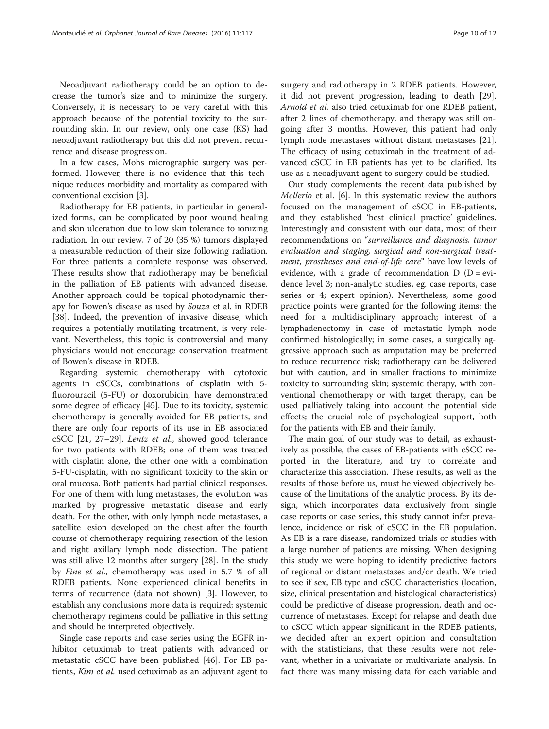Neoadjuvant radiotherapy could be an option to decrease the tumor's size and to minimize the surgery. Conversely, it is necessary to be very careful with this approach because of the potential toxicity to the surrounding skin. In our review, only one case (KS) had neoadjuvant radiotherapy but this did not prevent recurrence and disease progression.

In a few cases, Mohs micrographic surgery was performed. However, there is no evidence that this technique reduces morbidity and mortality as compared with conventional excision [\[3](#page-10-0)].

Radiotherapy for EB patients, in particular in generalized forms, can be complicated by poor wound healing and skin ulceration due to low skin tolerance to ionizing radiation. In our review, 7 of 20 (35 %) tumors displayed a measurable reduction of their size following radiation. For three patients a complete response was observed. These results show that radiotherapy may be beneficial in the palliation of EB patients with advanced disease. Another approach could be topical photodynamic therapy for Bowen's disease as used by Souza et al. in RDEB [[38\]](#page-11-0). Indeed, the prevention of invasive disease, which requires a potentially mutilating treatment, is very relevant. Nevertheless, this topic is controversial and many physicians would not encourage conservation treatment of Bowen's disease in RDEB.

Regarding systemic chemotherapy with cytotoxic agents in cSCCs, combinations of cisplatin with 5 fluorouracil (5-FU) or doxorubicin, have demonstrated some degree of efficacy [[45](#page-11-0)]. Due to its toxicity, systemic chemotherapy is generally avoided for EB patients, and there are only four reports of its use in EB associated cSCC [[21, 27](#page-11-0)–[29\]](#page-11-0). Lentz et al., showed good tolerance for two patients with RDEB; one of them was treated with cisplatin alone, the other one with a combination 5-FU-cisplatin, with no significant toxicity to the skin or oral mucosa. Both patients had partial clinical responses. For one of them with lung metastases, the evolution was marked by progressive metastatic disease and early death. For the other, with only lymph node metastases, a satellite lesion developed on the chest after the fourth course of chemotherapy requiring resection of the lesion and right axillary lymph node dissection. The patient was still alive 12 months after surgery [[28](#page-11-0)]. In the study by Fine et al., chemotherapy was used in 5.7 % of all RDEB patients. None experienced clinical benefits in terms of recurrence (data not shown) [\[3](#page-10-0)]. However, to establish any conclusions more data is required; systemic chemotherapy regimens could be palliative in this setting and should be interpreted objectively.

Single case reports and case series using the EGFR inhibitor cetuximab to treat patients with advanced or metastatic cSCC have been published [[46\]](#page-11-0). For EB patients, Kim et al. used cetuximab as an adjuvant agent to surgery and radiotherapy in 2 RDEB patients. However, it did not prevent progression, leading to death [\[29](#page-11-0)]. Arnold et al. also tried cetuximab for one RDEB patient, after 2 lines of chemotherapy, and therapy was still ongoing after 3 months. However, this patient had only lymph node metastases without distant metastases [\[21](#page-11-0)]. The efficacy of using cetuximab in the treatment of advanced cSCC in EB patients has yet to be clarified. Its use as a neoadjuvant agent to surgery could be studied.

Our study complements the recent data published by Mellerio et al. [[6\]](#page-10-0). In this systematic review the authors focused on the management of cSCC in EB-patients, and they established 'best clinical practice' guidelines. Interestingly and consistent with our data, most of their recommendations on "surveillance and diagnosis, tumor evaluation and staging, surgical and non-surgical treatment, prostheses and end-of-life care" have low levels of evidence, with a grade of recommendation  $D (D = evi-)$ dence level 3; non-analytic studies, eg. case reports, case series or 4; expert opinion). Nevertheless, some good practice points were granted for the following items: the need for a multidisciplinary approach; interest of a lymphadenectomy in case of metastatic lymph node confirmed histologically; in some cases, a surgically aggressive approach such as amputation may be preferred to reduce recurrence risk; radiotherapy can be delivered but with caution, and in smaller fractions to minimize toxicity to surrounding skin; systemic therapy, with conventional chemotherapy or with target therapy, can be used palliatively taking into account the potential side effects; the crucial role of psychological support, both for the patients with EB and their family.

The main goal of our study was to detail, as exhaustively as possible, the cases of EB-patients with cSCC reported in the literature, and try to correlate and characterize this association. These results, as well as the results of those before us, must be viewed objectively because of the limitations of the analytic process. By its design, which incorporates data exclusively from single case reports or case series, this study cannot infer prevalence, incidence or risk of cSCC in the EB population. As EB is a rare disease, randomized trials or studies with a large number of patients are missing. When designing this study we were hoping to identify predictive factors of regional or distant metastases and/or death. We tried to see if sex, EB type and cSCC characteristics (location, size, clinical presentation and histological characteristics) could be predictive of disease progression, death and occurrence of metastases. Except for relapse and death due to cSCC which appear significant in the RDEB patients, we decided after an expert opinion and consultation with the statisticians, that these results were not relevant, whether in a univariate or multivariate analysis. In fact there was many missing data for each variable and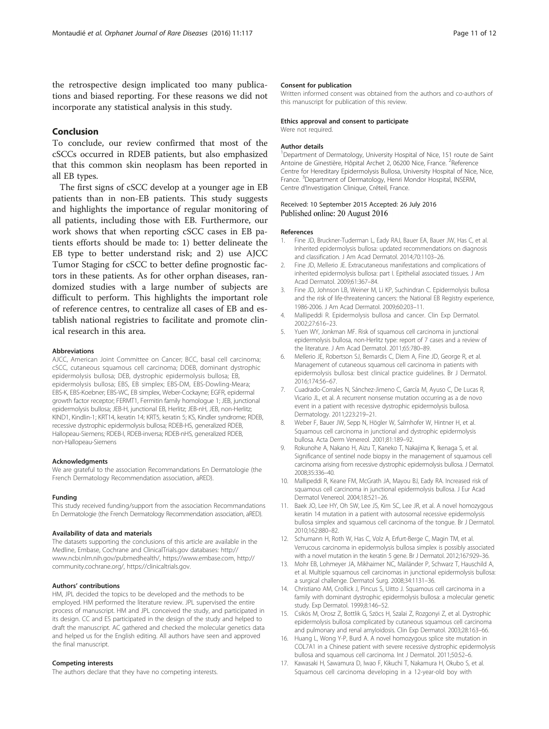<span id="page-10-0"></span>the retrospective design implicated too many publications and biased reporting. For these reasons we did not incorporate any statistical analysis in this study.

# Conclusion

To conclude, our review confirmed that most of the cSCCs occurred in RDEB patients, but also emphasized that this common skin neoplasm has been reported in all EB types.

The first signs of cSCC develop at a younger age in EB patients than in non-EB patients. This study suggests and highlights the importance of regular monitoring of all patients, including those with EB. Furthermore, our work shows that when reporting cSCC cases in EB patients efforts should be made to: 1) better delineate the EB type to better understand risk; and 2) use AJCC Tumor Staging for cSCC to better define prognostic factors in these patients. As for other orphan diseases, randomized studies with a large number of subjects are difficult to perform. This highlights the important role of reference centres, to centralize all cases of EB and establish national registries to facilitate and promote clinical research in this area.

#### **Abbreviations**

AJCC, American Joint Committee on Cancer; BCC, basal cell carcinoma; cSCC, cutaneous squamous cell carcinoma; DDEB, dominant dystrophic epidermolysis bullosa; DEB, dystrophic epidermolysis bullosa; EB, epidermolysis bullosa; EBS, EB simplex; EBS-DM, EBS-Dowling-Meara; EBS-K, EBS-Koebner; EBS-WC, EB simplex, Weber-Cockayne; EGFR, epidermal growth factor receptor; FERMT1, Fermitin family homologue 1; JEB, junctional epidermolysis bullosa; JEB-H, junctional EB, Herlitz; JEB-nH, JEB, non-Herlitz; KIND1, Kindlin-1; KRT14, keratin 14; KRT5, keratin 5; KS, Kindler syndrome; RDEB, recessive dystrophic epidermolysis bullosa; RDEB-HS, generalized RDEB, Hallopeau-Siemens; RDEB-I, RDEB-inversa; RDEB-nHS, generalized RDEB, non-Hallopeau-Siemens

#### Acknowledgments

We are grateful to the association Recommandations En Dermatologie (the French Dermatology Recommendation association, aRED).

#### Funding

This study received funding/support from the association Recommandations En Dermatologie (the French Dermatology Recommendation association, aRED).

#### Availability of data and materials

The datasets supporting the conclusions of this article are available in the Medline, Embase, Cochrane and ClinicalTrials.gov databases: [http://](http://www.ncbi.nlm.nih.gov/pubmedhealth/) [www.ncbi.nlm.nih.gov/pubmedhealth/](http://www.ncbi.nlm.nih.gov/pubmedhealth/), [https://www.embase.com,](https://www.embase.com/) [http://](http://community.cochrane.org/) [community.cochrane.org/](http://community.cochrane.org/), [https://clinicaltrials.gov.](https://clinicaltrials.gov/)

#### Authors' contributions

HM, JPL decided the topics to be developed and the methods to be employed. HM performed the literature review. JPL supervised the entire process of manuscript. HM and JPL conceived the study, and participated in its design. CC and ES participated in the design of the study and helped to draft the manuscript. AC gathered and checked the molecular genetics data and helped us for the English editing. All authors have seen and approved the final manuscript.

#### Competing interests

The authors declare that they have no competing interests.

#### Consent for publication

Written informed consent was obtained from the authors and co-authors of this manuscript for publication of this review.

#### Ethics approval and consent to participate Were not required.

#### Author details

<sup>1</sup>Department of Dermatology, University Hospital of Nice, 151 route de Saint Antoine de Ginestière, Hôpital Archet 2, 06200 Nice, France. <sup>2</sup>Reference Centre for Hereditary Epidermolysis Bullosa, University Hospital of Nice, Nice, France. <sup>3</sup>Department of Dermatology, Henri Mondor Hospital, INSERM, Centre d'Investigation Clinique, Créteil, France.

#### Received: 10 September 2015 Accepted: 26 July 2016 Published online: 20 August 2016

#### References

- 1. Fine JD, Bruckner-Tuderman L, Eady RAJ, Bauer EA, Bauer JW, Has C, et al. Inherited epidermolysis bullosa: updated recommendations on diagnosis and classification. J Am Acad Dermatol. 2014;70:1103–26.
- 2. Fine JD, Mellerio JE. Extracutaneous manifestations and complications of inherited epidermolysis bullosa: part I. Epithelial associated tissues. J Am Acad Dermatol. 2009;61:367–84.
- 3. Fine JD, Johnson LB, Weiner M, Li KP, Suchindran C. Epidermolysis bullosa and the risk of life-threatening cancers: the National EB Registry experience, 1986-2006. J Am Acad Dermatol. 2009;60:203–11.
- 4. Mallipeddi R. Epidermolysis bullosa and cancer. Clin Exp Dermatol. 2002;27:616–23.
- 5. Yuen WY, Jonkman MF. Risk of squamous cell carcinoma in junctional epidermolysis bullosa, non-Herlitz type: report of 7 cases and a review of the literature. J Am Acad Dermatol. 2011;65:780–89.
- 6. Mellerio JE, Robertson SJ, Bernardis C, Diem A, Fine JD, George R, et al. Management of cutaneous squamous cell carcinoma in patients with epidermolysis bullosa: best clinical practice guidelines. Br J Dermatol. 2016;174:56–67.
- 7. Cuadrado-Corrales N, Sánchez-Jimeno C, García M, Ayuso C, De Lucas R, Vicario JL, et al. A recurrent nonsense mutation occurring as a de novo event in a patient with recessive dystrophic epidermolysis bullosa. Dermatology. 2011;223:219–21.
- Weber F, Bauer JW, Sepp N, Högler W, Salmhofer W, Hintner H, et al. Squamous cell carcinoma in junctional and dystrophic epidermolysis bullosa. Acta Derm Venereol. 2001;81:189–92.
- 9. Rokunohe A, Nakano H, Aizu T, Kaneko T, Nakajima K, Ikenaga S, et al. Significance of sentinel node biopsy in the management of squamous cell carcinoma arising from recessive dystrophic epidermolysis bullosa. J Dermatol. 2008;35:336–40.
- 10. Mallipeddi R, Keane FM, McGrath JA, Mayou BJ, Eady RA. Increased risk of squamous cell carcinoma in junctional epidermolysis bullosa. J Eur Acad Dermatol Venereol. 2004;18:521–26.
- 11. Baek JO, Lee HY, Oh SW, Lee JS, Kim SC, Lee JR, et al. A novel homozygous keratin 14 mutation in a patient with autosomal recessive epidermolysis bullosa simplex and squamous cell carcinoma of the tongue. Br J Dermatol. 2010;162:880–82.
- 12. Schumann H, Roth W, Has C, Volz A, Erfurt-Berge C, Magin TM, et al. Verrucous carcinoma in epidermolysis bullosa simplex is possibly associated with a novel mutation in the keratin 5 gene. Br J Dermatol. 2012;167:929–36.
- 13. Mohr EB, Lohmeyer JA, Mikhaimer NC, Mailänder P, Schwarz T, Hauschild A, et al. Multiple squamous cell carcinomas in junctional epidermolysis bullosa: a surgical challenge. Dermatol Surg. 2008;34:1131–36.
- 14. Christiano AM, Crollick J, Pincus S, Uitto J. Squamous cell carcinoma in a family with dominant dystrophic epidermolysis bullosa: a molecular genetic study. Exp Dermatol. 1999;8:146–52.
- 15. Csikós M, Orosz Z, Bottlik G, Szöcs H, Szalai Z, Rozgonyi Z, et al. Dystrophic epidermolysis bullosa complicated by cutaneous squamous cell carcinoma and pulmonary and renal amyloidosis. Clin Exp Dermatol. 2003;28:163–66.
- 16. Huang L, Wong Y-P, Burd A. A novel homozygous splice site mutation in COL7A1 in a Chinese patient with severe recessive dystrophic epidermolysis bullosa and squamous cell carcinoma. Int J Dermatol. 2011;50:52–6.
- 17. Kawasaki H, Sawamura D, Iwao F, Kikuchi T, Nakamura H, Okubo S, et al. Squamous cell carcinoma developing in a 12-year-old boy with